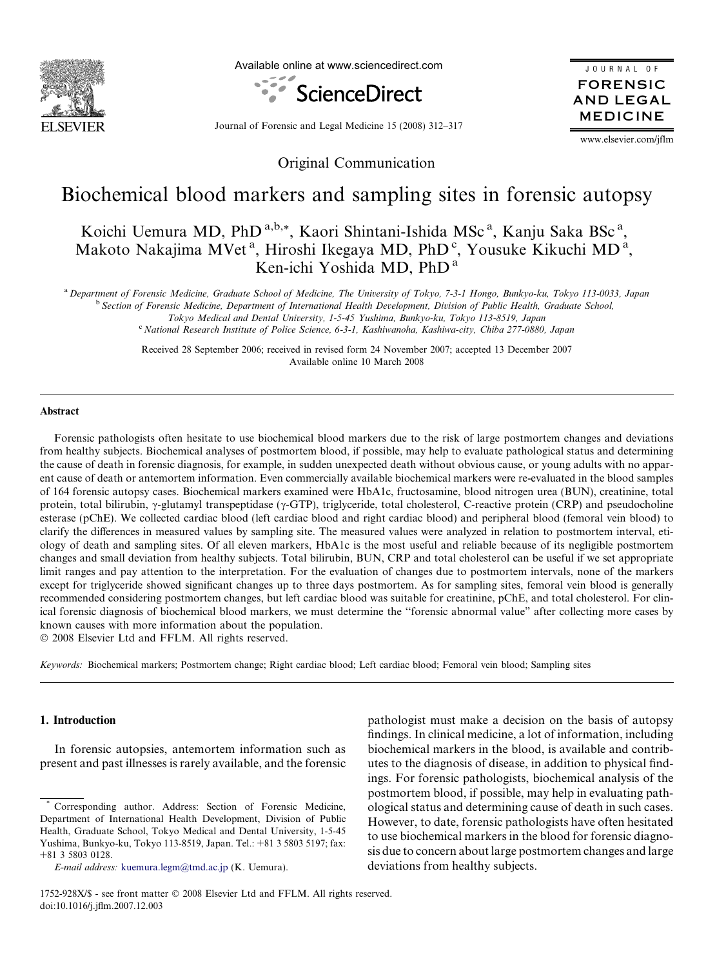

Available online at www.sciencedirect.com



JOURNAL OF FORENSIC AND LEGAL MEDICINE

Journal of Forensic and Legal Medicine 15 (2008) 312–317

www.elsevier.com/jflm

Original Communication

# Biochemical blood markers and sampling sites in forensic autopsy

Koichi Uemura MD, PhD<sup>a,b,\*</sup>, Kaori Shintani-Ishida MSc<sup>a</sup>, Kanju Saka BSc<sup>a</sup>, Makoto Nakajima MVet<sup>a</sup>, Hiroshi Ikegaya MD, PhD<sup>c</sup>, Yousuke Kikuchi MD<sup>a</sup>, Ken-ichi Yoshida MD, PhD <sup>a</sup>

<sup>a</sup> Department of Forensic Medicine, Graduate School of Medicine, The University of Tokyo, 7-3-1 Hongo, Bunkyo-ku, Tokyo 113-0033, Japan

<sup>b</sup> Section of Forensic Medicine, Department of International Health Development, Division of Public Health, Graduate School,

Tokyo Medical and Dental University, 1-5-45 Yushima, Bunkyo-ku, Tokyo 113-8519, Japan

<sup>c</sup> National Research Institute of Police Science, 6-3-1, Kashiwanoha, Kashiwa-city, Chiba 277-0880, Japan

Received 28 September 2006; received in revised form 24 November 2007; accepted 13 December 2007 Available online 10 March 2008

#### Abstract

Forensic pathologists often hesitate to use biochemical blood markers due to the risk of large postmortem changes and deviations from healthy subjects. Biochemical analyses of postmortem blood, if possible, may help to evaluate pathological status and determining the cause of death in forensic diagnosis, for example, in sudden unexpected death without obvious cause, or young adults with no apparent cause of death or antemortem information. Even commercially available biochemical markers were re-evaluated in the blood samples of 164 forensic autopsy cases. Biochemical markers examined were HbA1c, fructosamine, blood nitrogen urea (BUN), creatinine, total protein, total bilirubin,  $\gamma$ -glutamyl transpeptidase ( $\gamma$ -GTP), triglyceride, total cholesterol, C-reactive protein (CRP) and pseudocholine esterase (pChE). We collected cardiac blood (left cardiac blood and right cardiac blood) and peripheral blood (femoral vein blood) to clarify the differences in measured values by sampling site. The measured values were analyzed in relation to postmortem interval, etiology of death and sampling sites. Of all eleven markers, HbA1c is the most useful and reliable because of its negligible postmortem changes and small deviation from healthy subjects. Total bilirubin, BUN, CRP and total cholesterol can be useful if we set appropriate limit ranges and pay attention to the interpretation. For the evaluation of changes due to postmortem intervals, none of the markers except for triglyceride showed significant changes up to three days postmortem. As for sampling sites, femoral vein blood is generally recommended considering postmortem changes, but left cardiac blood was suitable for creatinine, pChE, and total cholesterol. For clinical forensic diagnosis of biochemical blood markers, we must determine the ''forensic abnormal value" after collecting more cases by known causes with more information about the population.

- 2008 Elsevier Ltd and FFLM. All rights reserved.

Keywords: Biochemical markers; Postmortem change; Right cardiac blood; Left cardiac blood; Femoral vein blood; Sampling sites

# 1. Introduction

In forensic autopsies, antemortem information such as present and past illnesses is rarely available, and the forensic pathologist must make a decision on the basis of autopsy findings. In clinical medicine, a lot of information, including biochemical markers in the blood, is available and contributes to the diagnosis of disease, in addition to physical findings. For forensic pathologists, biochemical analysis of the postmortem blood, if possible, may help in evaluating pathological status and determining cause of death in such cases. However, to date, forensic pathologists have often hesitated to use biochemical markers in the blood for forensic diagnosis due to concern about large postmortem changes and large deviations from healthy subjects.

Corresponding author. Address: Section of Forensic Medicine, Department of International Health Development, Division of Public Health, Graduate School, Tokyo Medical and Dental University, 1-5-45 Yushima, Bunkyo-ku, Tokyo 113-8519, Japan. Tel.: +81 3 5803 5197; fax: +81 3 5803 0128.

E-mail address: [kuemura.legm@tmd.ac.jp](mailto:kuemura.legm@tmd.ac.jp) (K. Uemura).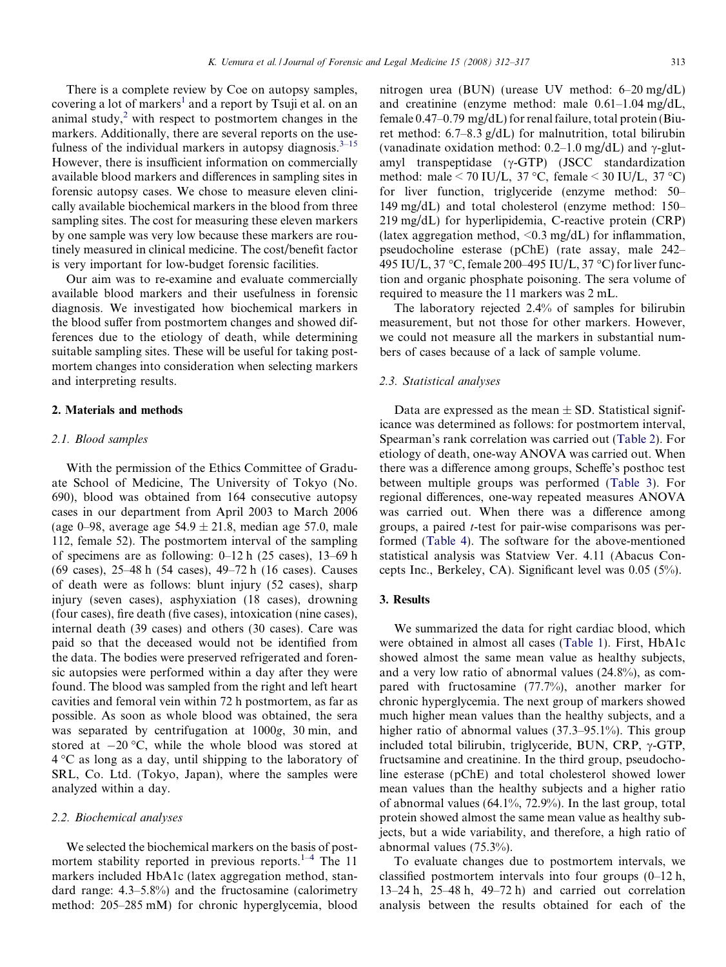There is a complete review by Coe on autopsy samples, covering a lot of markers<sup>[1](#page-5-0)</sup> and a report by Tsuji et al. on an animal study, $2$  with respect to postmortem changes in the markers. Additionally, there are several reports on the use-fulness of the individual markers in autopsy diagnosis.<sup>[3–15](#page-5-0)</sup> However, there is insufficient information on commercially available blood markers and differences in sampling sites in forensic autopsy cases. We chose to measure eleven clinically available biochemical markers in the blood from three sampling sites. The cost for measuring these eleven markers by one sample was very low because these markers are routinely measured in clinical medicine. The cost/benefit factor is very important for low-budget forensic facilities.

Our aim was to re-examine and evaluate commercially available blood markers and their usefulness in forensic diagnosis. We investigated how biochemical markers in the blood suffer from postmortem changes and showed differences due to the etiology of death, while determining suitable sampling sites. These will be useful for taking postmortem changes into consideration when selecting markers and interpreting results.

#### 2. Materials and methods

#### 2.1. Blood samples

With the permission of the Ethics Committee of Graduate School of Medicine, The University of Tokyo (No. 690), blood was obtained from 164 consecutive autopsy cases in our department from April 2003 to March 2006 (age 0–98, average age  $54.9 \pm 21.8$ , median age 57.0, male 112, female 52). The postmortem interval of the sampling of specimens are as following: 0–12 h (25 cases), 13–69 h (69 cases), 25–48 h (54 cases), 49–72 h (16 cases). Causes of death were as follows: blunt injury (52 cases), sharp injury (seven cases), asphyxiation (18 cases), drowning (four cases), fire death (five cases), intoxication (nine cases), internal death (39 cases) and others (30 cases). Care was paid so that the deceased would not be identified from the data. The bodies were preserved refrigerated and forensic autopsies were performed within a day after they were found. The blood was sampled from the right and left heart cavities and femoral vein within 72 h postmortem, as far as possible. As soon as whole blood was obtained, the sera was separated by centrifugation at 1000g, 30 min, and stored at  $-20$  °C, while the whole blood was stored at  $4^{\circ}$ C as long as a day, until shipping to the laboratory of SRL, Co. Ltd. (Tokyo, Japan), where the samples were analyzed within a day.

#### 2.2. Biochemical analyses

We selected the biochemical markers on the basis of postmortem stability reported in previous reports. $1-4$  The 11 markers included HbA1c (latex aggregation method, standard range: 4.3–5.8%) and the fructosamine (calorimetry method: 205–285 mM) for chronic hyperglycemia, blood nitrogen urea (BUN) (urease UV method: 6–20 mg/dL) and creatinine (enzyme method: male 0.61–1.04 mg/dL, female 0.47–0.79 mg/dL) for renal failure, total protein (Biuret method: 6.7–8.3 g/dL) for malnutrition, total bilirubin (vanadinate oxidation method:  $0.2-1.0$  mg/dL) and  $\gamma$ -glutamyl transpeptidase  $(\gamma$ -GTP) (JSCC standardization method: male < 70 IU/L, 37 °C, female < 30 IU/L, 37 °C) for liver function, triglyceride (enzyme method: 50– 149 mg/dL) and total cholesterol (enzyme method: 150– 219 mg/dL) for hyperlipidemia, C-reactive protein (CRP) (latex aggregation method,  $\leq 0.3$  mg/dL) for inflammation, pseudocholine esterase (pChE) (rate assay, male 242– 495 IU/L, 37 °C, female 200–495 IU/L, 37 °C) for liver function and organic phosphate poisoning. The sera volume of required to measure the 11 markers was 2 mL.

The laboratory rejected 2.4% of samples for bilirubin measurement, but not those for other markers. However, we could not measure all the markers in substantial numbers of cases because of a lack of sample volume.

#### 2.3. Statistical analyses

Data are expressed as the mean  $\pm$  SD. Statistical significance was determined as follows: for postmortem interval, Spearman's rank correlation was carried out [\(Table 2\)](#page-2-0). For etiology of death, one-way ANOVA was carried out. When there was a difference among groups, Scheffe's posthoc test between multiple groups was performed ([Table 3](#page-3-0)). For regional differences, one-way repeated measures ANOVA was carried out. When there was a difference among groups, a paired t-test for pair-wise comparisons was performed ([Table 4](#page-4-0)). The software for the above-mentioned statistical analysis was Statview Ver. 4.11 (Abacus Concepts Inc., Berkeley, CA). Significant level was 0.05 (5%).

### 3. Results

We summarized the data for right cardiac blood, which were obtained in almost all cases ([Table 1](#page-2-0)). First, HbA1c showed almost the same mean value as healthy subjects, and a very low ratio of abnormal values (24.8%), as compared with fructosamine (77.7%), another marker for chronic hyperglycemia. The next group of markers showed much higher mean values than the healthy subjects, and a higher ratio of abnormal values (37.3–95.1%). This group included total bilirubin, triglyceride, BUN, CRP,  $\gamma$ -GTP, fructsamine and creatinine. In the third group, pseudocholine esterase (pChE) and total cholesterol showed lower mean values than the healthy subjects and a higher ratio of abnormal values (64.1%, 72.9%). In the last group, total protein showed almost the same mean value as healthy subjects, but a wide variability, and therefore, a high ratio of abnormal values (75.3%).

To evaluate changes due to postmortem intervals, we classified postmortem intervals into four groups (0–12 h, 13–24 h, 25–48 h, 49–72 h) and carried out correlation analysis between the results obtained for each of the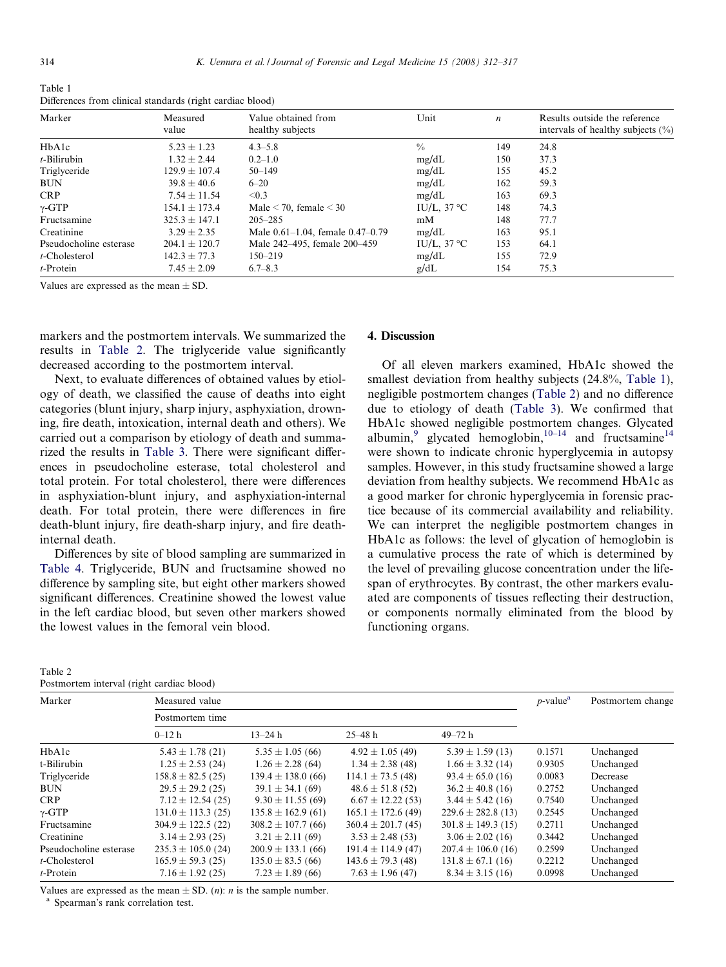<span id="page-2-0"></span>

| Table 1                                                   |  |
|-----------------------------------------------------------|--|
| Differences from clinical standards (right cardiac blood) |  |

| Marker                 | Measured<br>value | Value obtained from<br>healthy subjects | Unit                 | $\boldsymbol{n}$ | Results outside the reference<br>intervals of healthy subjects $(\% )$ |
|------------------------|-------------------|-----------------------------------------|----------------------|------------------|------------------------------------------------------------------------|
| HbAlc                  | $5.23 \pm 1.23$   | $4.3 - 5.8$                             | $\frac{0}{0}$        | 149              | 24.8                                                                   |
| $t$ -Bilirubin         | $1.32 \pm 2.44$   | $0.2 - 1.0$                             | mg/dL                | 150              | 37.3                                                                   |
| Triglyceride           | $129.9 \pm 107.4$ | $50 - 149$                              | mg/dL                | 155              | 45.2                                                                   |
| <b>BUN</b>             | $39.8 \pm 40.6$   | $6 - 20$                                | mg/dL                | 162              | 59.3                                                                   |
| <b>CRP</b>             | $7.54 \pm 11.54$  | < 0.3                                   | mg/dL                | 163              | 69.3                                                                   |
| $\gamma$ -GTP          | $154.1 \pm 173.4$ | Male $\leq$ 70, female $\leq$ 30        | IU/L, $37^{\circ}$ C | 148              | 74.3                                                                   |
| Fructsamine            | $325.3 \pm 147.1$ | $205 - 285$                             | mM                   | 148              | 77.7                                                                   |
| Creatinine             | $3.29 \pm 2.35$   | Male $0.61-1.04$ , female $0.47-0.79$   | mg/dL                | 163              | 95.1                                                                   |
| Pseudocholine esterase | $204.1 \pm 120.7$ | Male 242-495, female 200-459            | IU/L, $37^{\circ}$ C | 153              | 64.1                                                                   |
| $t$ -Cholesterol       | $142.3 \pm 77.3$  | $150 - 219$                             | mg/dL                | 155              | 72.9                                                                   |
| $t$ -Protein           | $7.45 \pm 2.09$   | $6.7 - 8.3$                             | g/dL                 | 154              | 75.3                                                                   |

Values are expressed as the mean  $\pm$  SD.

markers and the postmortem intervals. We summarized the results in Table 2. The triglyceride value significantly decreased according to the postmortem interval.

Next, to evaluate differences of obtained values by etiology of death, we classified the cause of deaths into eight categories (blunt injury, sharp injury, asphyxiation, drowning, fire death, intoxication, internal death and others). We carried out a comparison by etiology of death and summarized the results in [Table 3.](#page-3-0) There were significant differences in pseudocholine esterase, total cholesterol and total protein. For total cholesterol, there were differences in asphyxiation-blunt injury, and asphyxiation-internal death. For total protein, there were differences in fire death-blunt injury, fire death-sharp injury, and fire deathinternal death.

Differences by site of blood sampling are summarized in [Table 4.](#page-4-0) Triglyceride, BUN and fructsamine showed no difference by sampling site, but eight other markers showed significant differences. Creatinine showed the lowest value in the left cardiac blood, but seven other markers showed the lowest values in the femoral vein blood.

| Table 2                           |  |  |
|-----------------------------------|--|--|
| Doctmortam interval (right cardic |  |  |

## 4. Discussion

Of all eleven markers examined, HbA1c showed the smallest deviation from healthy subjects (24.8%, Table 1), negligible postmortem changes (Table 2) and no difference due to etiology of death [\(Table 3\)](#page-3-0). We confirmed that HbA1c showed negligible postmortem changes. Glycated albumin,<sup>[9](#page-5-0)</sup> glycated hemoglobin,<sup>[10–14](#page-5-0)</sup> and fructsamine<sup>[14](#page-5-0)</sup> were shown to indicate chronic hyperglycemia in autopsy samples. However, in this study fructsamine showed a large deviation from healthy subjects. We recommend HbA1c as a good marker for chronic hyperglycemia in forensic practice because of its commercial availability and reliability. We can interpret the negligible postmortem changes in HbA1c as follows: the level of glycation of hemoglobin is a cumulative process the rate of which is determined by the level of prevailing glucose concentration under the lifespan of erythrocytes. By contrast, the other markers evaluated are components of tissues reflecting their destruction, or components normally eliminated from the blood by functioning organs.

| Postmortem interval (right cardiac blood) |                        |                        |                        |                        |                         |                   |
|-------------------------------------------|------------------------|------------------------|------------------------|------------------------|-------------------------|-------------------|
| Marker                                    | Measured value         |                        |                        |                        | $p$ -value <sup>a</sup> | Postmortem change |
|                                           | Postmortem time        |                        |                        |                        |                         |                   |
|                                           | $0 - 12h$              | $13 - 24 h$            | $25 - 48 h$            | $49 - 72 h$            |                         |                   |
| HbAlc                                     | $5.43 \pm 1.78$ (21)   | $5.35 \pm 1.05(66)$    | $4.92 \pm 1.05$ (49)   | $5.39 \pm 1.59$ (13)   | 0.1571                  | Unchanged         |
| t-Bilirubin                               | $1.25 \pm 2.53$ (24)   | $1.26 \pm 2.28$ (64)   | $1.34 \pm 2.38$ (48)   | $1.66 \pm 3.32$ (14)   | 0.9305                  | Unchanged         |
| Triglyceride                              | $158.8 \pm 82.5(25)$   | $139.4 \pm 138.0$ (66) | $114.1 \pm 73.5(48)$   | $93.4 \pm 65.0$ (16)   | 0.0083                  | Decrease          |
| <b>BUN</b>                                | $29.5 \pm 29.2$ (25)   | $39.1 \pm 34.1$ (69)   | $48.6 \pm 51.8$ (52)   | $36.2 \pm 40.8$ (16)   | 0.2752                  | Unchanged         |
| <b>CRP</b>                                | $7.12 \pm 12.54$ (25)  | $9.30 \pm 11.55(69)$   | $6.67 \pm 12.22$ (53)  | $3.44 \pm 5.42$ (16)   | 0.7540                  | Unchanged         |
| $\gamma$ -GTP                             | $131.0 \pm 113.3$ (25) | $135.8 \pm 162.9$ (61) | $165.1 \pm 172.6$ (49) | $229.6 \pm 282.8$ (13) | 0.2545                  | Unchanged         |
| Fructsamine                               | $304.9 \pm 122.5$ (22) | $308.2 \pm 107.7(66)$  | $360.4 \pm 201.7(45)$  | $301.8 \pm 149.3$ (15) | 0.2711                  | Unchanged         |
| Creatinine                                | $3.14 \pm 2.93$ (25)   | $3.21 \pm 2.11(69)$    | $3.53 \pm 2.48$ (53)   | $3.06 \pm 2.02$ (16)   | 0.3442                  | Unchanged         |
| Pseudocholine esterase                    | $235.3 \pm 105.0$ (24) | $200.9 \pm 133.1$ (66) | $191.4 \pm 114.9$ (47) | $207.4 \pm 106.0$ (16) | 0.2599                  | Unchanged         |
| $t$ -Cholesterol                          | $165.9 \pm 59.3(25)$   | $135.0 \pm 83.5(66)$   | $143.6 \pm 79.3$ (48)  | $131.8 \pm 67.1$ (16)  | 0.2212                  | Unchanged         |
| $t$ -Protein                              | $7.16 \pm 1.92$ (25)   | $7.23 \pm 1.89$ (66)   | $7.63 \pm 1.96$ (47)   | $8.34 \pm 3.15$ (16)   | 0.0998                  | Unchanged         |

Values are expressed as the mean  $\pm$  SD. (*n*): *n* is the sample number. <sup>a</sup> Spearman's rank correlation test.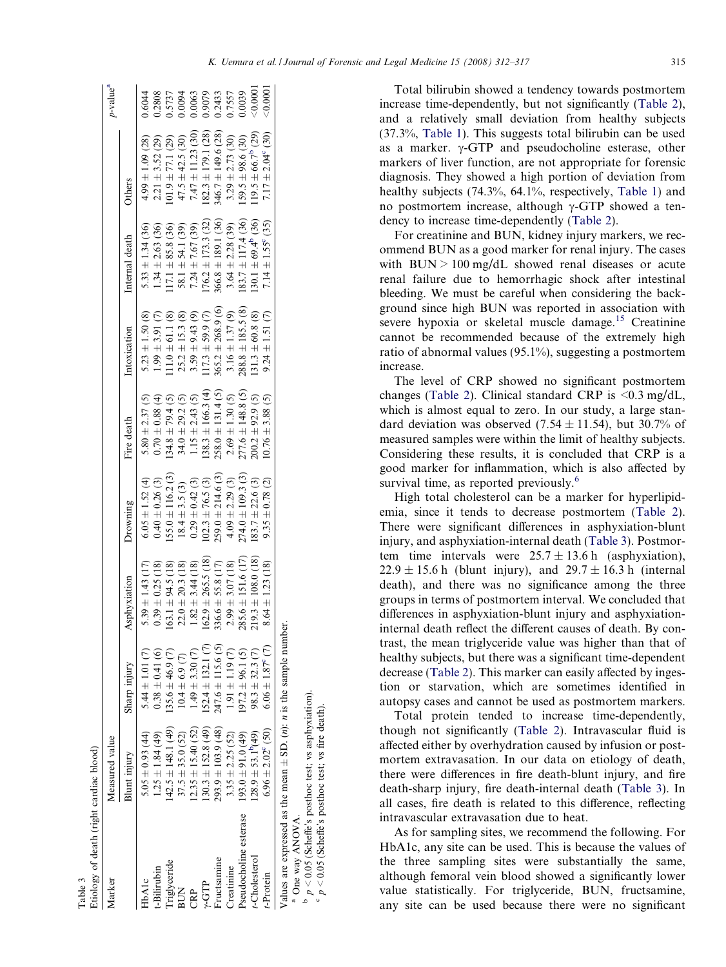<span id="page-3-0"></span>

| Etiology of death (right cardiac blood)                                                 |                              |                             |                        |                       |                       |                      |                               |                                               |                            |
|-----------------------------------------------------------------------------------------|------------------------------|-----------------------------|------------------------|-----------------------|-----------------------|----------------------|-------------------------------|-----------------------------------------------|----------------------------|
| Marker                                                                                  | Measured value               |                             |                        |                       |                       |                      |                               |                                               | p-value <sup>a</sup>       |
|                                                                                         | Blunt injury                 | Sharp injury                | Asphyxiation           | Drowning              | Fire death            | Intoxication         | Internal death                | Others                                        |                            |
| HbAlc                                                                                   | $6.05 \pm 0.93$ (44)         | $5.44 \pm 1.01$ (7)         | $5.39 \pm 1.43$ (17)   | $6.05 \pm 1.52$ (4)   | $5.80 \pm 2.37(5)$    | $5.23 \pm 1.50(8)$   | $5.33 \pm 1.34$ (36)          | $4.99 \pm 1.09$ (28)                          | 0.6044                     |
| t-Bilirubin                                                                             | $1.25 \pm 1.84$ (49)         | $0.38 \pm 0.41(6)$          | $0.39 \pm 0.25$ (18)   | $0.40 \pm 0.26$ (3)   | $0.70 \pm 0.88$ (4)   | $1.99 \pm 3.91$ (7)  | $1.34 \pm 2.63$ (36)          | $2.21 \pm 3.52$ (29)                          | 0.2808                     |
| riglyceride                                                                             | $42.5 \pm 148.1(49)$         | 35.6 $\pm$ 46.9 (7)         | $63.1 \pm 94.5$ (18)   | $155.0 \pm 116.2$ (3) | $134.8 \pm 79.4$ (5)  | $11.0 \pm 61.1$ (8)  | $17.1 \pm 85.8$ (36)          | $01.9 \pm 77.1$ (29)                          | 0.5737                     |
| <b>BUN</b>                                                                              | $37.5 \pm 35.0$ (52)         | $10.4 \pm 6.9$ (7)          | $22.0 \pm 20.3$ (18)   | $18.4 \pm 3.5$ (3)    | $34.0 \pm 29.2$ (5)   | $25.2 \pm 15.3$ (8)  | $58.1 \pm 54.1$ (39)          | $47.5 \pm 42.5$ (30)<br>$7.47 \pm 11.23$ (30) |                            |
| CRP                                                                                     | $2.35 \pm 15.40$ (52)        | $1.49 \pm 3.30(7)$          | $1.82 \pm 3.44$ (18)   | $0.29 \pm 0.42$ (3)   | $1.15 \pm 2.43$ (5)   | $3.59 \pm 9.43$ (9)  | $7.24 \pm 7.67$ (39)          |                                               |                            |
| $\Upsilon$ -GTP                                                                         | $130.3 \pm 152.8$ (49)       | $52.4 \pm 132.1$ (7)        | $.62.9 \pm 265.5$ (18) | $102.3 \pm 76.5$ (3)  | $138.3 \pm 166.3$ (4) | $17.3 \pm 59.9(7)$   | $176.2 \pm 173.3$ (32)        | $182.3 \pm 179.1$ (28)                        | 0.0094<br>0.0063<br>0.9079 |
| Fructsamine                                                                             | $293.9 \pm 103.9$ (48)       | $.47.6 \pm 115.6$ (5)       | $36.6 \pm 55.8$ (17)   | $259.0 \pm 214.6$ (3) | $258.0 \pm 131.4$ (5) | $365.2 \pm 268.9(6)$ | $366.8 \pm 189.1$ (36)        | 346.7 $\pm$ 149.6 (28)                        | 0.2433                     |
| Creatinine                                                                              | $3.35 \pm 2.25$ (52)         | $1.91 \pm 1.19$ (7)         | $2.99 \pm 3.07$ (18)   | $4.09 \pm 2.29$ (3)   | $2.69 \pm 1.30$ (5)   | $3.16 \pm 1.37(9)$   | $3.64 \pm 2.28$ (39)          | $3.29 \pm 2.73$ (30)                          |                            |
| Pseudocholine esterase                                                                  | $(93.0 \pm 91.0)$ (49)       | $97.2 \pm 96.1$ (5)         | $285.6 \pm 151.6$ (17) | $274.0 \pm 109.3$ (3) | $277.6 \pm 148.8$ (5) | $288.8 \pm 185.5(8)$ | $183.7 \pm 117.4$ (36)        | $159.5 \pm 98.6$ (30)                         | 0.0039                     |
| t-Cholesterol                                                                           | $(28.9 \pm 53.1^{b}(49))$    | $98.3 \pm 32.3$ (7)         | $119.3 \pm 108.0$ (18) | $183.7 \pm 22.6$ (3)  | $200.2 \pm 92.9$ (5)  | $131.3 \pm 60.8$ (8) | $130.1 \pm 69.4^{\circ}$ (36) | $119.5 \pm 66.7^{\circ}$ (29)                 | 0.0001                     |
| t-Protein                                                                               | $6.96 \pm 2.02^{\circ}$ (50) | $6.06 \pm 1.87^{\circ}$ (7) | $8.64 \pm 1.23$ (18)   | $9.35 \pm 0.78$ (2)   | $10.76 \pm 3.88$ (5)  | $9.24 \pm 1.51(7)$   | $7.14 \pm 1.55^{\circ}$ (35)  | $7.17 \pm 2.04^{\circ}$ (30)                  | $-0.0001$                  |
| Values are expressed as the mean $\pm$ SD. ( <i>n</i> ): <i>n</i> is the sample number. |                              |                             |                        |                       |                       |                      |                               |                                               |                            |
| <sup>a</sup> One way ANOVA.                                                             |                              |                             |                        |                       |                       |                      |                               |                                               |                            |
| $p > 0.05$ (Scheffe's posthoc test; vs asphyxiation).                                   |                              |                             |                        |                       |                       |                      |                               |                                               |                            |
| $\degree$ p < 0.05 (Scheffe's posthoc test; vs fire death).                             |                              |                             |                        |                       |                       |                      |                               |                                               |                            |

Table 3

increase time-dependently, but not significantly ([Table 2\)](#page-2-0), and a relatively small deviation from healthy subjects (37.3%, [Table 1](#page-2-0)). This suggests total bilirubin can be used as a marker.  $\gamma$ -GTP and pseudocholine esterase, other markers of liver function, are not appropriate for forensic diagnosis. They showed a high portion of deviation from healthy subjects (74.3%, 64.1%, respectively, [Table 1\)](#page-2-0) and no postmortem increase, although  $\gamma$ -GTP showed a tendency to increase time-dependently [\(Table 2\)](#page-2-0). For creatinine and BUN, kidney injury markers, we recommend BUN as a good marker for renal injury. The cases with  $BUN > 100$  mg/dL showed renal diseases or acute renal failure due to hemorrhagic shock after intestinal

Total bilirubin showed a tendency towards postmortem

bleeding. We must be careful when considering the background since high BUN was reported in association with severe hypoxia or skeletal muscle damage.<sup>[15](#page-5-0)</sup> Creatinine cannot be recommended because of the extremely high ratio of abnormal values (95.1%), suggesting a postmortem increase.

The level of CRP showed no significant postmortem changes [\(Table 2\)](#page-2-0). Clinical standard CRP is  $\leq 0.3$  mg/dL, which is almost equal to zero. In our study, a large standard deviation was observed (7.54  $\pm$  11.54), but 30.7% of measured samples were within the limit of healthy subjects. Considering these results, it is concluded that CRP is a good marker for inflammation, which is also affected by survival time, as reported previously.<sup>[6](#page-5-0)</sup>

High total cholesterol can be a marker for hyperlipidemia, since it tends to decrease postmortem ([Table 2\)](#page-2-0). There were significant differences in asphyxiation-blunt injury, and asphyxiation-internal death (Table 3). Postmortem time intervals were  $25.7 \pm 13.6$  h (asphyxiation),  $22.9 \pm 15.6$  h (blunt injury), and  $29.7 \pm 16.3$  h (internal death), and there was no significance among the three groups in terms of postmortem interval. We concluded that differences in asphyxiation-blunt injury and asphyxiationinternal death reflect the different causes of death. By contrast, the mean triglyceride value was higher than that of healthy subjects, but there was a significant time-dependent decrease ([Table 2](#page-2-0)). This marker can easily affected by ingestion or starvation, which are sometimes identified in autopsy cases and cannot be used as postmortem markers.

Total protein tended to increase time-dependently, though not significantly [\(Table 2](#page-2-0)). Intravascular fluid is affected either by overhydration caused by infusion or postmortem extravasation. In our data on etiology of death, there were differences in fire death-blunt injury, and fire death-sharp injury, fire death-internal death (Table 3). In all cases, fire death is related to this difference, reflecting intravascular extravasation due to heat.

As for sampling sites, we recommend the following. For HbA1c, any site can be used. This is because the values of the three sampling sites were substantially the same, although femoral vein blood showed a significantly lower value statistically. For triglyceride, BUN, fructsamine, any site can be used because there were no significant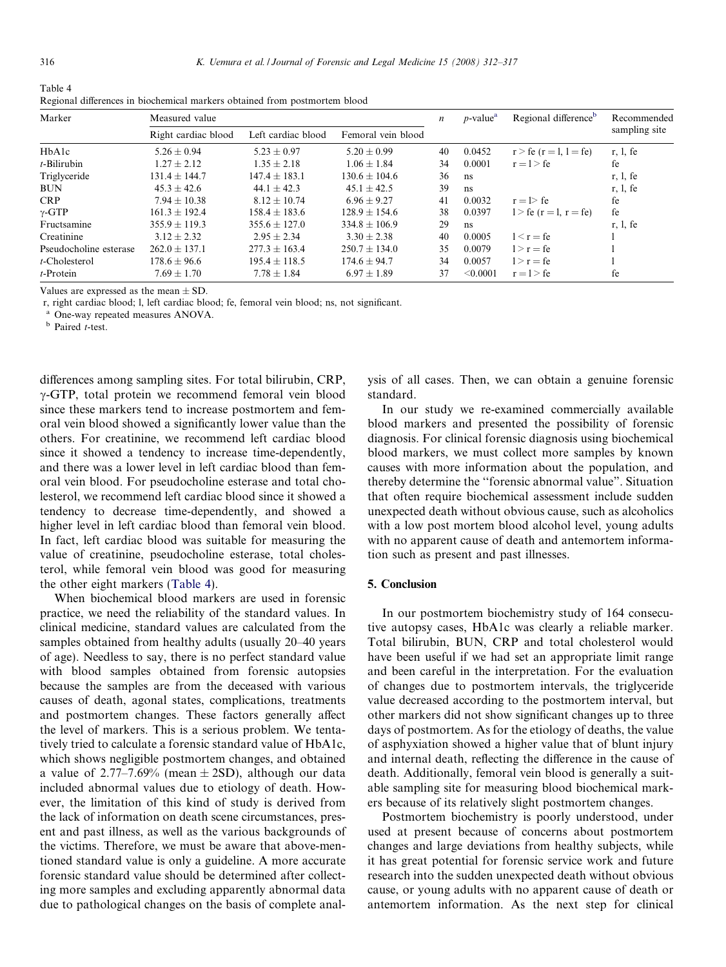<span id="page-4-0"></span>

| Table 4                                                                    |  |
|----------------------------------------------------------------------------|--|
| Regional differences in biochemical markers obtained from postmortem blood |  |

| Marker                 | Measured value      |                    |                    | n  | $p$ -value <sup>a</sup> | Regional difference <sup>b</sup> | Recommended   |
|------------------------|---------------------|--------------------|--------------------|----|-------------------------|----------------------------------|---------------|
|                        | Right cardiac blood | Left cardiac blood | Femoral vein blood |    |                         |                                  | sampling site |
| HbAlc                  | $5.26 + 0.94$       | $5.23 + 0.97$      | $5.20 + 0.99$      | 40 | 0.0452                  | $r > fe$ ( $r = 1, 1 = fe$ )     | r, 1, fe      |
| $t$ -Bilirubin         | $1.27 \pm 2.12$     | $1.35 \pm 2.18$    | $1.06 \pm 1.84$    | 34 | 0.0001                  | $r = l > fe$                     | fe            |
| Triglyceride           | $131.4 \pm 144.7$   | $147.4 \pm 183.1$  | $130.6 + 104.6$    | 36 | ns                      |                                  | r, 1, fe      |
| <b>BUN</b>             | $45.3 + 42.6$       | $44.1 + 42.3$      | $45.1 + 42.5$      | 39 | ns                      |                                  | r, 1, fe      |
| <b>CRP</b>             | $7.94 + 10.38$      | $8.12 \pm 10.74$   | $6.96 + 9.27$      | 41 | 0.0032                  | $r = l$ fe                       | fe            |
| $\gamma$ -GTP          | $161.3 + 192.4$     | $158.4 + 183.6$    | $128.9 + 154.6$    | 38 | 0.0397                  | $1 > fe (r = 1, r = fe)$         | fe            |
| Fructsamine            | $355.9 + 119.3$     | $355.6 + 127.0$    | $334.8 + 106.9$    | 29 | ns                      |                                  | r. 1. fe      |
| Creatinine             | $3.12 + 2.32$       | $2.95 + 2.34$      | $3.30 + 2.38$      | 40 | 0.0005                  | $1 < r = fe$                     |               |
| Pseudocholine esterase | $262.0 \pm 137.1$   | $277.3 \pm 163.4$  | $250.7 \pm 134.0$  | 35 | 0.0079                  | $1 > r = fe$                     |               |
| $t$ -Cholesterol       | $178.6 \pm 96.6$    | $195.4 \pm 118.5$  | $174.6 + 94.7$     | 34 | 0.0057                  | $1 > r = fe$                     |               |
| $t$ -Protein           | $7.69 + 1.70$       | $7.78 \pm 1.84$    | $6.97 + 1.89$      | 37 | < 0.0001                | $r = l > fe$                     | fe            |

Values are expressed as the mean  $+$  SD.

r, right cardiac blood; l, left cardiac blood; fe, femoral vein blood; ns, not significant.

<sup>a</sup> One-way repeated measures ANOVA.

**b** Paired *t*-test.

differences among sampling sites. For total bilirubin, CRP,  $\gamma$ -GTP, total protein we recommend femoral vein blood since these markers tend to increase postmortem and femoral vein blood showed a significantly lower value than the others. For creatinine, we recommend left cardiac blood since it showed a tendency to increase time-dependently, and there was a lower level in left cardiac blood than femoral vein blood. For pseudocholine esterase and total cholesterol, we recommend left cardiac blood since it showed a tendency to decrease time-dependently, and showed a higher level in left cardiac blood than femoral vein blood. In fact, left cardiac blood was suitable for measuring the value of creatinine, pseudocholine esterase, total cholesterol, while femoral vein blood was good for measuring the other eight markers (Table 4).

When biochemical blood markers are used in forensic practice, we need the reliability of the standard values. In clinical medicine, standard values are calculated from the samples obtained from healthy adults (usually 20–40 years of age). Needless to say, there is no perfect standard value with blood samples obtained from forensic autopsies because the samples are from the deceased with various causes of death, agonal states, complications, treatments and postmortem changes. These factors generally affect the level of markers. This is a serious problem. We tentatively tried to calculate a forensic standard value of HbA1c, which shows negligible postmortem changes, and obtained a value of  $2.77-7.69\%$  (mean  $\pm$  2SD), although our data included abnormal values due to etiology of death. However, the limitation of this kind of study is derived from the lack of information on death scene circumstances, present and past illness, as well as the various backgrounds of the victims. Therefore, we must be aware that above-mentioned standard value is only a guideline. A more accurate forensic standard value should be determined after collecting more samples and excluding apparently abnormal data due to pathological changes on the basis of complete analysis of all cases. Then, we can obtain a genuine forensic standard.

In our study we re-examined commercially available blood markers and presented the possibility of forensic diagnosis. For clinical forensic diagnosis using biochemical blood markers, we must collect more samples by known causes with more information about the population, and thereby determine the ''forensic abnormal value". Situation that often require biochemical assessment include sudden unexpected death without obvious cause, such as alcoholics with a low post mortem blood alcohol level, young adults with no apparent cause of death and antemortem information such as present and past illnesses.

### 5. Conclusion

In our postmortem biochemistry study of 164 consecutive autopsy cases, HbA1c was clearly a reliable marker. Total bilirubin, BUN, CRP and total cholesterol would have been useful if we had set an appropriate limit range and been careful in the interpretation. For the evaluation of changes due to postmortem intervals, the triglyceride value decreased according to the postmortem interval, but other markers did not show significant changes up to three days of postmortem. As for the etiology of deaths, the value of asphyxiation showed a higher value that of blunt injury and internal death, reflecting the difference in the cause of death. Additionally, femoral vein blood is generally a suitable sampling site for measuring blood biochemical markers because of its relatively slight postmortem changes.

Postmortem biochemistry is poorly understood, under used at present because of concerns about postmortem changes and large deviations from healthy subjects, while it has great potential for forensic service work and future research into the sudden unexpected death without obvious cause, or young adults with no apparent cause of death or antemortem information. As the next step for clinical